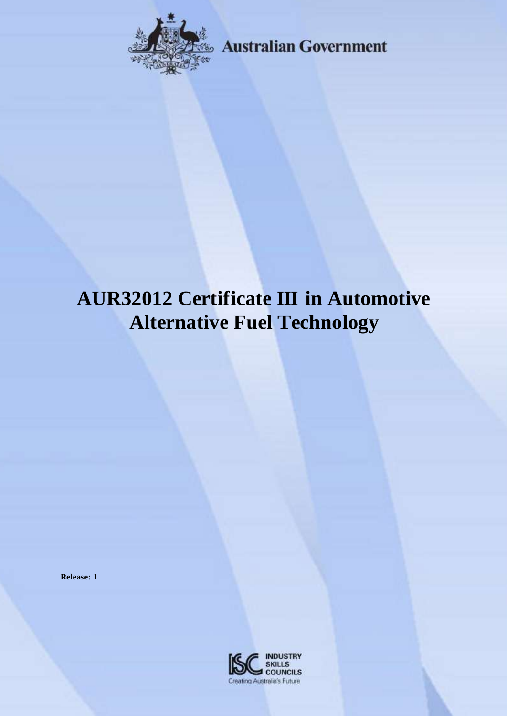

**Externalian Government** 

# **AUR32012 Certificate III in Automotive Alternative Fuel Technology**

**Release: 1**

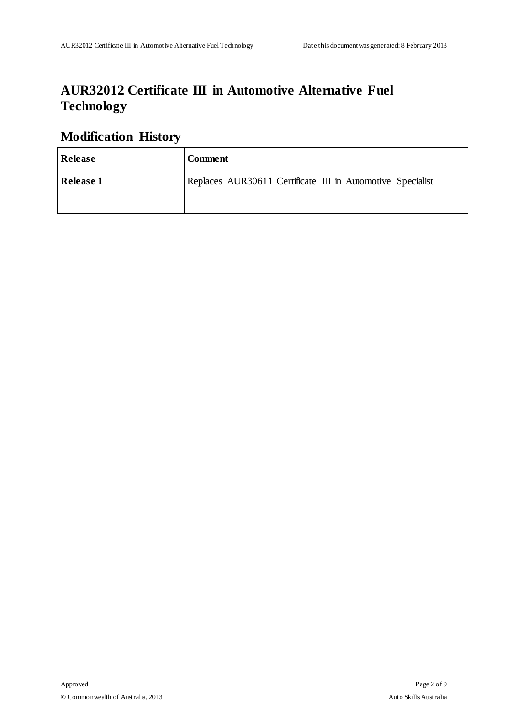# **AUR32012 Certificate III in Automotive Alternative Fuel Technology**

# **Modification History**

| Release          | <b>Comment</b>                                             |
|------------------|------------------------------------------------------------|
| <b>Release 1</b> | Replaces AUR30611 Certificate III in Automotive Specialist |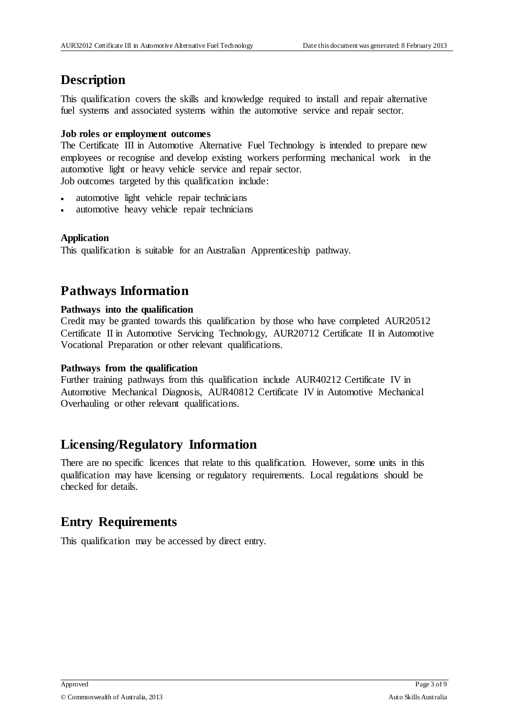### **Description**

This qualification covers the skills and knowledge required to install and repair alternative fuel systems and associated systems within the automotive service and repair sector.

#### **Job roles or employment outcomes**

The Certificate III in Automotive Alternative Fuel Technology is intended to prepare new employees or recognise and develop existing workers performing mechanical work in the automotive light or heavy vehicle service and repair sector. Job outcomes targeted by this qualification include:

- automotive light vehicle repair technicians
- automotive heavy vehicle repair technicians

#### **Application**

This qualification is suitable for an Australian Apprenticeship pathway.

### **Pathways Information**

#### **Pathways into the qualification**

Credit may be granted towards this qualification by those who have completed AUR20512 Certificate II in Automotive Servicing Technology, AUR20712 Certificate II in Automotive Vocational Preparation or other relevant qualifications.

#### **Pathways from the qualification**

Further training pathways from this qualification include AUR40212 Certificate IV in Automotive Mechanical Diagnosis, AUR40812 Certificate IV in Automotive Mechanical Overhauling or other relevant qualifications.

### **Licensing/Regulatory Information**

There are no specific licences that relate to this qualification. However, some units in this qualification may have licensing or regulatory requirements. Local regulations should be checked for details.

### **Entry Requirements**

This qualification may be accessed by direct entry.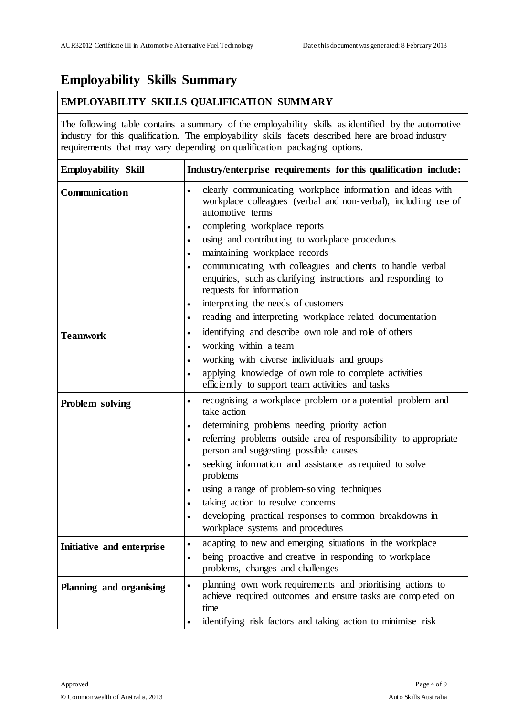## **Employability Skills Summary**

#### **EMPLOYABILITY SKILLS QUALIFICATION SUMMARY**

The following table contains a summary of the employability skills as identified by the automotive industry for this qualification. The employability skills facets described here are broad industry requirements that may vary depending on qualification packaging options.

| <b>Employability Skill</b> | Industry/enterprise requirements for this qualification include:                                                                                                                                                                                                                                                                                                                                                                                        |
|----------------------------|---------------------------------------------------------------------------------------------------------------------------------------------------------------------------------------------------------------------------------------------------------------------------------------------------------------------------------------------------------------------------------------------------------------------------------------------------------|
| Communication              | clearly communicating workplace information and ideas with<br>workplace colleagues (verbal and non-verbal), including use of<br>automotive terms<br>completing workplace reports<br>$\bullet$<br>using and contributing to workplace procedures<br>$\bullet$<br>maintaining workplace records<br>communicating with colleagues and clients to handle verbal<br>enquiries, such as clarifying instructions and responding to<br>requests for information |
|                            | interpreting the needs of customers<br>$\bullet$                                                                                                                                                                                                                                                                                                                                                                                                        |
|                            | reading and interpreting workplace related documentation<br>$\bullet$                                                                                                                                                                                                                                                                                                                                                                                   |
| <b>Teamwork</b>            | identifying and describe own role and role of others<br>$\bullet$                                                                                                                                                                                                                                                                                                                                                                                       |
|                            | working within a team<br>$\bullet$                                                                                                                                                                                                                                                                                                                                                                                                                      |
|                            | working with diverse individuals and groups                                                                                                                                                                                                                                                                                                                                                                                                             |
|                            | applying knowledge of own role to complete activities<br>efficiently to support team activities and tasks                                                                                                                                                                                                                                                                                                                                               |
| Problem solving            | recognising a workplace problem or a potential problem and<br>$\bullet$<br>take action                                                                                                                                                                                                                                                                                                                                                                  |
|                            | determining problems needing priority action                                                                                                                                                                                                                                                                                                                                                                                                            |
|                            | referring problems outside area of responsibility to appropriate<br>$\bullet$<br>person and suggesting possible causes                                                                                                                                                                                                                                                                                                                                  |
|                            | seeking information and assistance as required to solve<br>problems                                                                                                                                                                                                                                                                                                                                                                                     |
|                            | using a range of problem-solving techniques<br>$\bullet$                                                                                                                                                                                                                                                                                                                                                                                                |
|                            | taking action to resolve concerns                                                                                                                                                                                                                                                                                                                                                                                                                       |
|                            | developing practical responses to common breakdowns in<br>workplace systems and procedures                                                                                                                                                                                                                                                                                                                                                              |
| Initiative and enterprise  | adapting to new and emerging situations in the workplace                                                                                                                                                                                                                                                                                                                                                                                                |
|                            | being proactive and creative in responding to workplace<br>problems, changes and challenges                                                                                                                                                                                                                                                                                                                                                             |
| Planning and organising    | planning own work requirements and prioritising actions to<br>$\bullet$<br>achieve required outcomes and ensure tasks are completed on<br>time                                                                                                                                                                                                                                                                                                          |
|                            | identifying risk factors and taking action to minimise risk                                                                                                                                                                                                                                                                                                                                                                                             |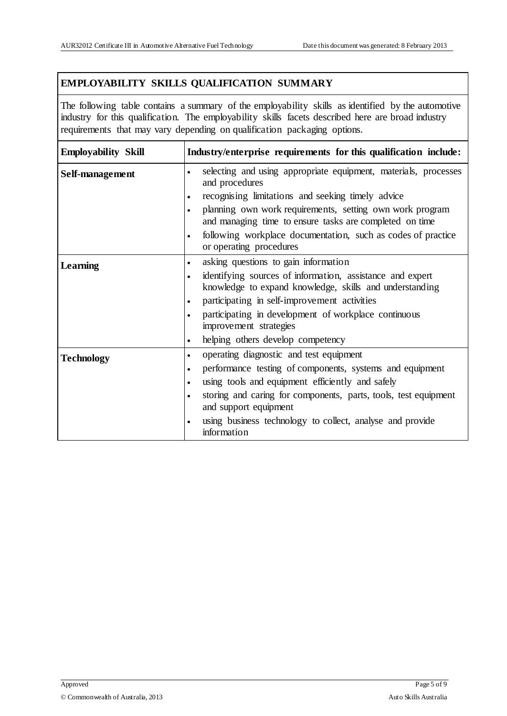#### **EMPLOYABILITY SKILLS QUALIFICATION SUMMARY**

The following table contains a summary of the employability skills as identified by the automotive industry for this qualification. The employability skills facets described here are broad industry requirements that may vary depending on qualification packaging options.

| <b>Employability Skill</b> | Industry/enterprise requirements for this qualification include:                                                                                                                                                                                                                                                                                                                                |
|----------------------------|-------------------------------------------------------------------------------------------------------------------------------------------------------------------------------------------------------------------------------------------------------------------------------------------------------------------------------------------------------------------------------------------------|
| Self-management            | selecting and using appropriate equipment, materials, processes<br>$\bullet$<br>and procedures<br>recognising limitations and seeking timely advice<br>$\bullet$<br>planning own work requirements, setting own work program<br>and managing time to ensure tasks are completed on time<br>following workplace documentation, such as codes of practice<br>$\bullet$<br>or operating procedures |
| Learning                   | asking questions to gain information<br>$\bullet$<br>identifying sources of information, assistance and expert<br>knowledge to expand knowledge, skills and understanding<br>participating in self-improvement activities<br>$\bullet$<br>participating in development of workplace continuous<br>improvement strategies<br>helping others develop competency<br>$\bullet$                      |
| <b>Technology</b>          | operating diagnostic and test equipment<br>٠<br>performance testing of components, systems and equipment<br>$\bullet$<br>using tools and equipment efficiently and safely<br>$\bullet$<br>storing and caring for components, parts, tools, test equipment<br>and support equipment<br>using business technology to collect, analyse and provide<br>information                                  |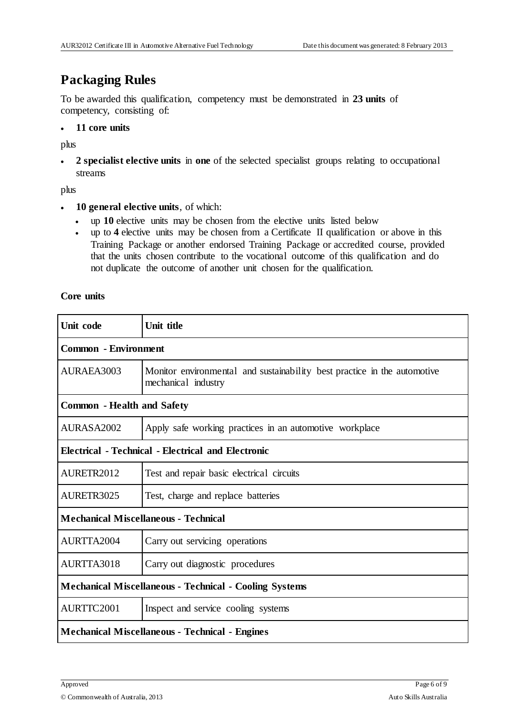# **Packaging Rules**

To be awarded this qualification, competency must be demonstrated in **23 units** of competency, consisting of:

**11 core units**

plus

 **2 specialist elective units** in **one** of the selected specialist groups relating to occupational streams

plus

- **10 general elective units**, of which:
	- up **10** elective units may be chosen from the elective units listed below
	- up to **4** elective units may be chosen from a Certificate II qualification or above in this Training Package or another endorsed Training Package or accredited course, provided that the units chosen contribute to the vocational outcome of this qualification and do not duplicate the outcome of another unit chosen for the qualification.

#### **Core units**

| Unit code                                                     | Unit title                                                                                      |  |
|---------------------------------------------------------------|-------------------------------------------------------------------------------------------------|--|
|                                                               | <b>Common</b> - Environment                                                                     |  |
| AURAEA3003                                                    | Monitor environmental and sustainability best practice in the automotive<br>mechanical industry |  |
| <b>Common</b> - Health and Safety                             |                                                                                                 |  |
| AURASA2002                                                    | Apply safe working practices in an automotive workplace                                         |  |
| <b>Electrical - Technical - Electrical and Electronic</b>     |                                                                                                 |  |
| AURETR2012                                                    | Test and repair basic electrical circuits                                                       |  |
| AURETR3025                                                    | Test, charge and replace batteries                                                              |  |
| <b>Mechanical Miscellaneous - Technical</b>                   |                                                                                                 |  |
| AURTTA2004                                                    | Carry out servicing operations                                                                  |  |
| AURTTA3018                                                    | Carry out diagnostic procedures                                                                 |  |
| <b>Mechanical Miscellaneous - Technical - Cooling Systems</b> |                                                                                                 |  |
| AURTTC2001                                                    | Inspect and service cooling systems                                                             |  |
| <b>Mechanical Miscellaneous - Technical - Engines</b>         |                                                                                                 |  |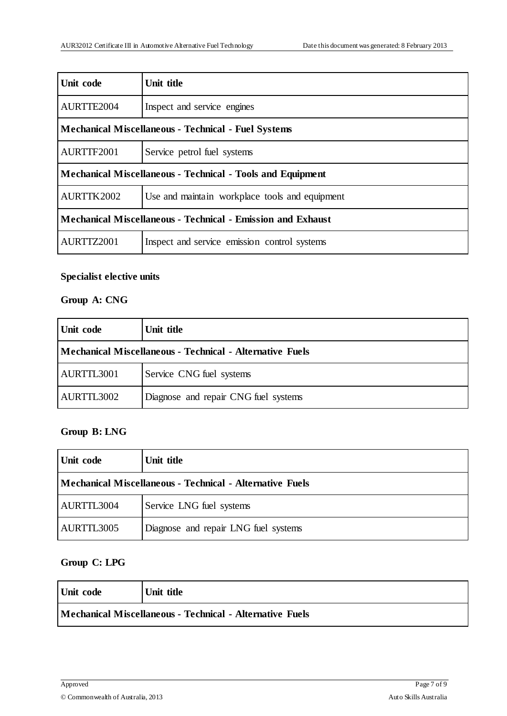| Unit code                                                          | Unit title                                     |
|--------------------------------------------------------------------|------------------------------------------------|
| AURTTE2004                                                         | Inspect and service engines                    |
| <b>Mechanical Miscellaneous - Technical - Fuel Systems</b>         |                                                |
| AURTTF2001                                                         | Service petrol fuel systems                    |
| <b>Mechanical Miscellaneous - Technical - Tools and Equipment</b>  |                                                |
| AURTTK2002                                                         | Use and maintain workplace tools and equipment |
| <b>Mechanical Miscellaneous - Technical - Emission and Exhaust</b> |                                                |
| AURTTZ2001                                                         | Inspect and service emission control systems   |

#### **Specialist elective units**

#### **Group A: CNG**

| Unit code                                                | Unit title                           |
|----------------------------------------------------------|--------------------------------------|
| Mechanical Miscellaneous - Technical - Alternative Fuels |                                      |
| AURTTL3001                                               | Service CNG fuel systems             |
| AURTTL3002                                               | Diagnose and repair CNG fuel systems |

#### **Group B: LNG**

| Unit code                                                | Unit title                           |
|----------------------------------------------------------|--------------------------------------|
| Mechanical Miscellaneous - Technical - Alternative Fuels |                                      |
| AURTTL3004                                               | Service LNG fuel systems             |
| AURTTL3005                                               | Diagnose and repair LNG fuel systems |

#### **Group C: LPG**

| Unit code                                                | Unit title |
|----------------------------------------------------------|------------|
| Mechanical Miscellaneous - Technical - Alternative Fuels |            |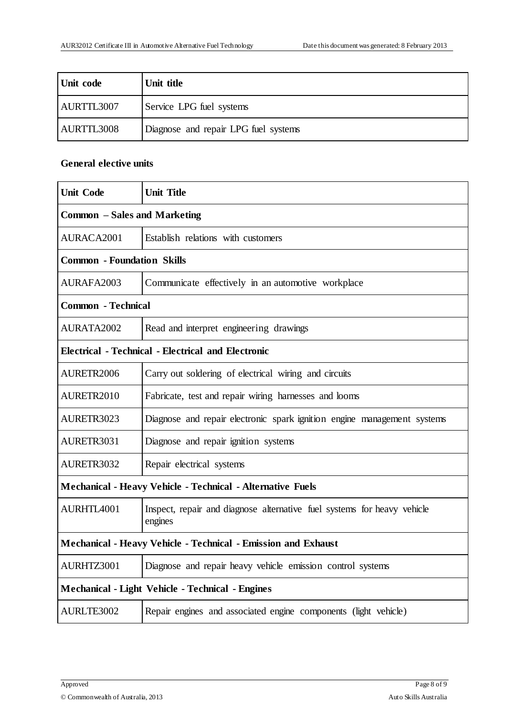| Unit code         | Unit title                           |
|-------------------|--------------------------------------|
| <b>AURTTL3007</b> | Service LPG fuel systems             |
| <b>AURTTL3008</b> | Diagnose and repair LPG fuel systems |

#### **General elective units**

| <b>Unit Code</b>                                              | <b>Unit Title</b>                                                                  |  |
|---------------------------------------------------------------|------------------------------------------------------------------------------------|--|
|                                                               | Common - Sales and Marketing                                                       |  |
| AURACA2001                                                    | Establish relations with customers                                                 |  |
|                                                               | <b>Common - Foundation Skills</b>                                                  |  |
| AURAFA2003                                                    | Communicate effectively in an automotive workplace                                 |  |
| <b>Common</b> - Technical                                     |                                                                                    |  |
| AURATA2002                                                    | Read and interpret engineering drawings                                            |  |
| <b>Electrical - Technical - Electrical and Electronic</b>     |                                                                                    |  |
| AURETR2006                                                    | Carry out soldering of electrical wiring and circuits                              |  |
| AURETR2010                                                    | Fabricate, test and repair wiring harnesses and looms                              |  |
| AURETR3023                                                    | Diagnose and repair electronic spark ignition engine management systems            |  |
| AURETR3031                                                    | Diagnose and repair ignition systems                                               |  |
| AURETR3032                                                    | Repair electrical systems                                                          |  |
| Mechanical - Heavy Vehicle - Technical - Alternative Fuels    |                                                                                    |  |
| AURHTL4001                                                    | Inspect, repair and diagnose alternative fuel systems for heavy vehicle<br>engines |  |
| Mechanical - Heavy Vehicle - Technical - Emission and Exhaust |                                                                                    |  |
| AURHTZ3001                                                    | Diagnose and repair heavy vehicle emission control systems                         |  |
| <b>Mechanical - Light Vehicle - Technical - Engines</b>       |                                                                                    |  |
| AURLTE3002                                                    | Repair engines and associated engine components (light vehicle)                    |  |